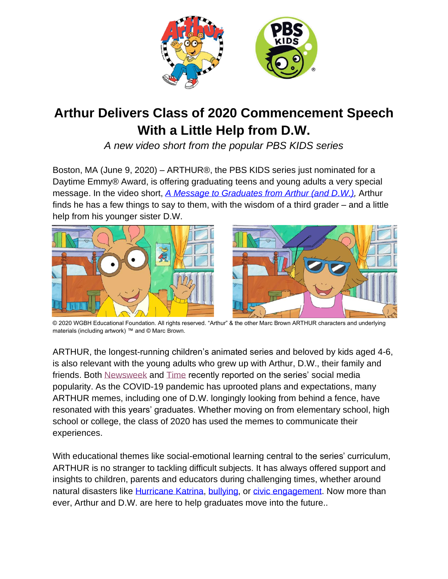

# **Arthur Delivers Class of 2020 Commencement Speech With a Little Help from D.W.**

*A new video short from the popular PBS KIDS series*

Boston, MA (June 9, 2020) – ARTHUR®, the PBS KIDS series just nominated for a Daytime Emmy® Award, is offering graduating teens and young adults a very special message. In the video short, *[A Message to Graduates from Arthur \(and D.W.\),](https://pbskids.org/video/arthur/3043480870)* Arthur finds he has a few things to say to them, with the wisdom of a third grader – and a little help from his younger sister D.W.



© 2020 WGBH Educational Foundation. All rights reserved. "Arthur" & the other Marc Brown ARTHUR characters and underlying materials (including artwork) ™ and © Marc Brown.

ARTHUR, the longest-running children's animated series and beloved by kids aged 4-6, is also relevant with the young adults who grew up with Arthur, D.W., their family and friends. Bot[h](https://www.newsweek.com/2020/05/15/class-2020-all-dressed-nowhere-go-1500142.html) [Newsweek](https://www.newsweek.com/2020/05/15/class-2020-all-dressed-nowhere-go-1500142.html) and [Time](https://time.com/5769871/best-arthur-memes/) recently reported on the series' social media popularity. As the COVID-19 pandemic has uprooted plans and expectations, many ARTHUR memes, including one of D.W. longingly looking from behind a fence, have resonated with this years' graduates. Whether moving on from elementary school, high school or college, the class of 2020 has used the memes to communicate their experiences.

With educational themes like social-emotional learning central to the series' curriculum, ARTHUR is no stranger to tackling difficult subjects. It has always offered support and insights to children, parents and educators during challenging times, whether around natural disasters like [Hurricane Katrina,](https://pbskids.org/video/arthur/2365825269) [bullying,](https://pbskids.org/video/arthur/2365002765) or [civic engagement.](https://pbskids.org/video/arthur/3009325702) Now more than ever, Arthur and D.W. are here to help graduates move into the future..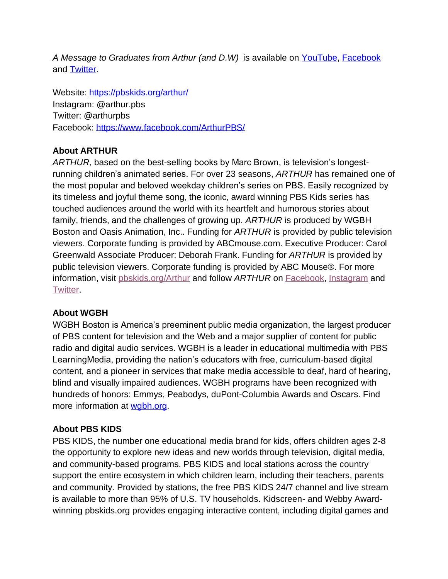*A Message to Graduates from Arthur (and D.W)* is available on [YouTube,](https://www.youtube.com/watch?v=Oao2OguJRYo&feature=youtu.be) [Facebook](https://business.facebook.com/watch/?v=267000181179232) and [Twitter.](https://twitter.com/PBSKIDS/status/1270349704228933634)

Website:<https://pbskids.org/arthur/> Instagram: @arthur.pbs Twitter: @arthurpbs Facebook: <https://www.facebook.com/ArthurPBS/>

## **About ARTHUR**

*ARTHUR,* based on the best-selling books by Marc Brown, is television's longestrunning children's animated series. For over 23 seasons, *ARTHUR* has remained one of the most popular and beloved weekday children's series on PBS. Easily recognized by its timeless and joyful theme song, the iconic, award winning PBS Kids series has touched audiences around the world with its heartfelt and humorous stories about family, friends, and the challenges of growing up. *ARTHUR* is produced by WGBH Boston and Oasis Animation, Inc.. Funding for *ARTHUR* is provided by public television viewers. Corporate funding is provided by ABCmouse.com. Executive Producer: Carol Greenwald Associate Producer: Deborah Frank. Funding for *ARTHUR* is provided by public television viewers. Corporate funding is provided by ABC Mouse®. For more information, visi[t](https://pbskids.org/Arthur) [pbskids.org/Arthur](https://pbskids.org/Arthur) and follow *ARTHUR* o[n](https://www.facebook.com/ArthurPBS/) [Facebook](https://www.facebook.com/ArthurPBS/)[,](https://www.instagram.com/arthur.pbs/?hl=en) [Instagram](https://www.instagram.com/arthur.pbs/?hl=en) an[d](https://twitter.com/arthurpbs?ref_src=twsrc%5Egoogle%7Ctwcamp%5Eserp%7Ctwgr%5Eauthor) [Twitter.](https://twitter.com/arthurpbs?ref_src=twsrc%5Egoogle%7Ctwcamp%5Eserp%7Ctwgr%5Eauthor)

### **About WGBH**

WGBH Boston is America's preeminent public media organization, the largest producer of PBS content for television and the Web and a major supplier of content for public radio and digital audio services. WGBH is a leader in educational multimedia with PBS LearningMedia, providing the nation's educators with free, curriculum-based digital content, and a pioneer in services that make media accessible to deaf, hard of hearing, blind and visually impaired audiences. WGBH programs have been recognized with hundreds of honors: Emmys, Peabodys, duPont-Columbia Awards and Oscars. Find more information at [wgbh.org.](https://www.wgbh.org/)

### **About PBS KIDS**

PBS KIDS, the number one educational media brand for kids, offers children ages 2-8 the opportunity to explore new ideas and new worlds through television, digital media, and community-based programs. PBS KIDS and local stations across the country support the entire ecosystem in which children learn, including their teachers, parents and community. Provided by stations, the free PBS KIDS 24/7 channel and live stream is available to more than 95% of U.S. TV households. Kidscreen- and Webby Awardwinning pbskids.org provides engaging interactive content, including digital games and